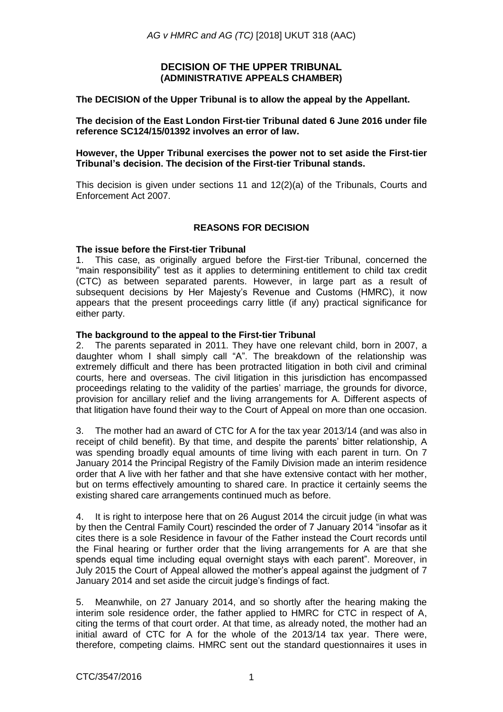## **DECISION OF THE UPPER TRIBUNAL (ADMINISTRATIVE APPEALS CHAMBER)**

**The DECISION of the Upper Tribunal is to allow the appeal by the Appellant.**

**The decision of the East London First-tier Tribunal dated 6 June 2016 under file reference SC124/15/01392 involves an error of law.** 

**However, the Upper Tribunal exercises the power not to set aside the First-tier Tribunal's decision. The decision of the First-tier Tribunal stands.**

This decision is given under sections 11 and  $12(2)(a)$  of the Tribunals, Courts and Enforcement Act 2007.

## **REASONS FOR DECISION**

### **The issue before the First-tier Tribunal**

1. This case, as originally argued before the First-tier Tribunal, concerned the "main responsibility" test as it applies to determining entitlement to child tax credit (CTC) as between separated parents. However, in large part as a result of subsequent decisions by Her Majesty's Revenue and Customs (HMRC), it now appears that the present proceedings carry little (if any) practical significance for either party.

### **The background to the appeal to the First-tier Tribunal**

2. The parents separated in 2011. They have one relevant child, born in 2007, a daughter whom I shall simply call "A". The breakdown of the relationship was extremely difficult and there has been protracted litigation in both civil and criminal courts, here and overseas. The civil litigation in this jurisdiction has encompassed proceedings relating to the validity of the parties' marriage, the grounds for divorce, provision for ancillary relief and the living arrangements for A. Different aspects of that litigation have found their way to the Court of Appeal on more than one occasion.

3. The mother had an award of CTC for A for the tax year 2013/14 (and was also in receipt of child benefit). By that time, and despite the parents' bitter relationship, A was spending broadly equal amounts of time living with each parent in turn. On 7 January 2014 the Principal Registry of the Family Division made an interim residence order that A live with her father and that she have extensive contact with her mother, but on terms effectively amounting to shared care. In practice it certainly seems the existing shared care arrangements continued much as before.

4. It is right to interpose here that on 26 August 2014 the circuit judge (in what was by then the Central Family Court) rescinded the order of 7 January 2014 "insofar as it cites there is a sole Residence in favour of the Father instead the Court records until the Final hearing or further order that the living arrangements for A are that she spends equal time including equal overnight stays with each parent". Moreover, in July 2015 the Court of Appeal allowed the mother's appeal against the judgment of 7 January 2014 and set aside the circuit judge's findings of fact.

5. Meanwhile, on 27 January 2014, and so shortly after the hearing making the interim sole residence order, the father applied to HMRC for CTC in respect of A, citing the terms of that court order. At that time, as already noted, the mother had an initial award of CTC for A for the whole of the 2013/14 tax year. There were, therefore, competing claims. HMRC sent out the standard questionnaires it uses in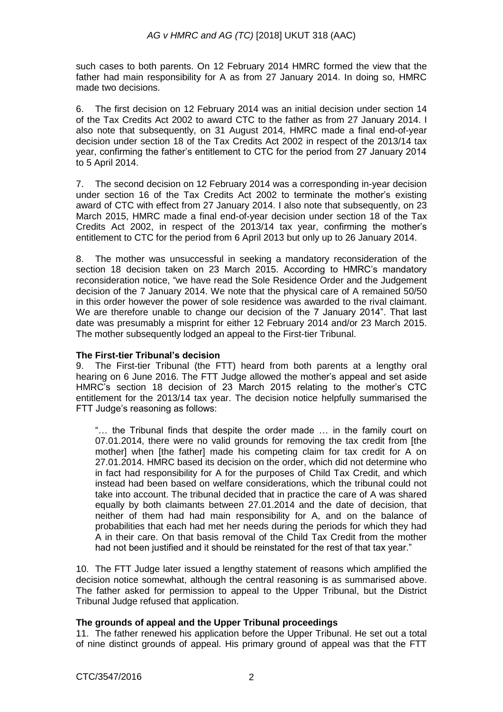such cases to both parents. On 12 February 2014 HMRC formed the view that the father had main responsibility for A as from 27 January 2014. In doing so, HMRC made two decisions.

6. The first decision on 12 February 2014 was an initial decision under section 14 of the Tax Credits Act 2002 to award CTC to the father as from 27 January 2014. I also note that subsequently, on 31 August 2014, HMRC made a final end-of-year decision under section 18 of the Tax Credits Act 2002 in respect of the 2013/14 tax year, confirming the father's entitlement to CTC for the period from 27 January 2014 to 5 April 2014.

7. The second decision on 12 February 2014 was a corresponding in-year decision under section 16 of the Tax Credits Act 2002 to terminate the mother's existing award of CTC with effect from 27 January 2014. I also note that subsequently, on 23 March 2015, HMRC made a final end-of-year decision under section 18 of the Tax Credits Act 2002, in respect of the 2013/14 tax year, confirming the mother's entitlement to CTC for the period from 6 April 2013 but only up to 26 January 2014.

8. The mother was unsuccessful in seeking a mandatory reconsideration of the section 18 decision taken on 23 March 2015. According to HMRC's mandatory reconsideration notice, "we have read the Sole Residence Order and the Judgement decision of the 7 January 2014. We note that the physical care of A remained 50/50 in this order however the power of sole residence was awarded to the rival claimant. We are therefore unable to change our decision of the 7 January 2014". That last date was presumably a misprint for either 12 February 2014 and/or 23 March 2015. The mother subsequently lodged an appeal to the First-tier Tribunal.

### **The First-tier Tribunal's decision**

9. The First-tier Tribunal (the FTT) heard from both parents at a lengthy oral hearing on 6 June 2016. The FTT Judge allowed the mother's appeal and set aside HMRC's section 18 decision of 23 March 2015 relating to the mother's CTC entitlement for the 2013/14 tax year. The decision notice helpfully summarised the FTT Judge's reasoning as follows:

"… the Tribunal finds that despite the order made … in the family court on 07.01.2014, there were no valid grounds for removing the tax credit from [the mother] when [the father] made his competing claim for tax credit for A on 27.01.2014. HMRC based its decision on the order, which did not determine who in fact had responsibility for A for the purposes of Child Tax Credit, and which instead had been based on welfare considerations, which the tribunal could not take into account. The tribunal decided that in practice the care of A was shared equally by both claimants between 27.01.2014 and the date of decision, that neither of them had had main responsibility for A, and on the balance of probabilities that each had met her needs during the periods for which they had A in their care. On that basis removal of the Child Tax Credit from the mother had not been justified and it should be reinstated for the rest of that tax year."

10. The FTT Judge later issued a lengthy statement of reasons which amplified the decision notice somewhat, although the central reasoning is as summarised above. The father asked for permission to appeal to the Upper Tribunal, but the District Tribunal Judge refused that application.

## **The grounds of appeal and the Upper Tribunal proceedings**

11. The father renewed his application before the Upper Tribunal. He set out a total of nine distinct grounds of appeal. His primary ground of appeal was that the FTT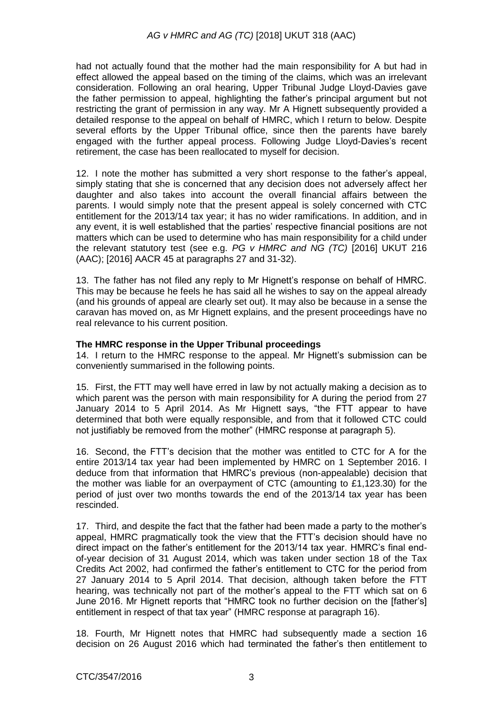# *AG v HMRC and AG (TC)* [2018] UKUT 318 (AAC)

had not actually found that the mother had the main responsibility for A but had in effect allowed the appeal based on the timing of the claims, which was an irrelevant consideration. Following an oral hearing, Upper Tribunal Judge Lloyd-Davies gave the father permission to appeal, highlighting the father's principal argument but not restricting the grant of permission in any way. Mr A Hignett subsequently provided a detailed response to the appeal on behalf of HMRC, which I return to below. Despite several efforts by the Upper Tribunal office, since then the parents have barely engaged with the further appeal process. Following Judge Lloyd-Davies's recent retirement, the case has been reallocated to myself for decision.

12. I note the mother has submitted a very short response to the father's appeal, simply stating that she is concerned that any decision does not adversely affect her daughter and also takes into account the overall financial affairs between the parents. I would simply note that the present appeal is solely concerned with CTC entitlement for the 2013/14 tax year; it has no wider ramifications. In addition, and in any event, it is well established that the parties' respective financial positions are not matters which can be used to determine who has main responsibility for a child under the relevant statutory test (see e.g. *PG v HMRC and NG (TC)* [2016] UKUT 216 (AAC); [2016] AACR 45 at paragraphs 27 and 31-32).

13. The father has not filed any reply to Mr Hignett's response on behalf of HMRC. This may be because he feels he has said all he wishes to say on the appeal already (and his grounds of appeal are clearly set out). It may also be because in a sense the caravan has moved on, as Mr Hignett explains, and the present proceedings have no real relevance to his current position.

### **The HMRC response in the Upper Tribunal proceedings**

14. I return to the HMRC response to the appeal. Mr Hignett's submission can be conveniently summarised in the following points.

15. First, the FTT may well have erred in law by not actually making a decision as to which parent was the person with main responsibility for A during the period from 27 January 2014 to 5 April 2014. As Mr Hignett says, "the FTT appear to have determined that both were equally responsible, and from that it followed CTC could not justifiably be removed from the mother" (HMRC response at paragraph 5).

16. Second, the FTT's decision that the mother was entitled to CTC for A for the entire 2013/14 tax year had been implemented by HMRC on 1 September 2016. I deduce from that information that HMRC's previous (non-appealable) decision that the mother was liable for an overpayment of CTC (amounting to  $£1,123.30$ ) for the period of just over two months towards the end of the 2013/14 tax year has been rescinded.

17. Third, and despite the fact that the father had been made a party to the mother's appeal, HMRC pragmatically took the view that the FTT's decision should have no direct impact on the father's entitlement for the 2013/14 tax year. HMRC's final endof-year decision of 31 August 2014, which was taken under section 18 of the Tax Credits Act 2002, had confirmed the father's entitlement to CTC for the period from 27 January 2014 to 5 April 2014. That decision, although taken before the FTT hearing, was technically not part of the mother's appeal to the FTT which sat on 6 June 2016. Mr Hignett reports that "HMRC took no further decision on the [father's] entitlement in respect of that tax year" (HMRC response at paragraph 16).

18. Fourth, Mr Hignett notes that HMRC had subsequently made a section 16 decision on 26 August 2016 which had terminated the father's then entitlement to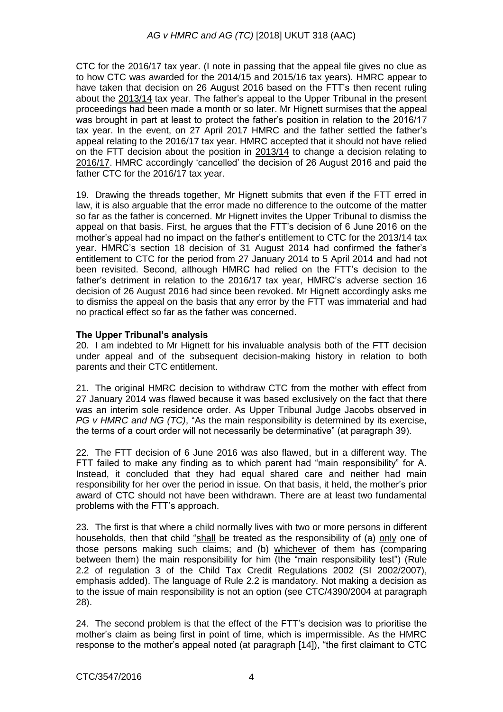CTC for the 2016/17 tax year. (I note in passing that the appeal file gives no clue as to how CTC was awarded for the 2014/15 and 2015/16 tax years). HMRC appear to have taken that decision on 26 August 2016 based on the FTT's then recent ruling about the 2013/14 tax year. The father's appeal to the Upper Tribunal in the present proceedings had been made a month or so later. Mr Hignett surmises that the appeal was brought in part at least to protect the father's position in relation to the 2016/17 tax year. In the event, on 27 April 2017 HMRC and the father settled the father's appeal relating to the 2016/17 tax year. HMRC accepted that it should not have relied on the FTT decision about the position in 2013/14 to change a decision relating to 2016/17. HMRC accordingly 'cancelled' the decision of 26 August 2016 and paid the father CTC for the 2016/17 tax year.

19. Drawing the threads together, Mr Hignett submits that even if the FTT erred in law, it is also arguable that the error made no difference to the outcome of the matter so far as the father is concerned. Mr Hignett invites the Upper Tribunal to dismiss the appeal on that basis. First, he argues that the FTT's decision of 6 June 2016 on the mother's appeal had no impact on the father's entitlement to CTC for the 2013/14 tax year. HMRC's section 18 decision of 31 August 2014 had confirmed the father's entitlement to CTC for the period from 27 January 2014 to 5 April 2014 and had not been revisited. Second, although HMRC had relied on the FTT's decision to the father's detriment in relation to the 2016/17 tax year, HMRC's adverse section 16 decision of 26 August 2016 had since been revoked. Mr Hignett accordingly asks me to dismiss the appeal on the basis that any error by the FTT was immaterial and had no practical effect so far as the father was concerned.

# **The Upper Tribunal's analysis**

20. I am indebted to Mr Hignett for his invaluable analysis both of the FTT decision under appeal and of the subsequent decision-making history in relation to both parents and their CTC entitlement.

21. The original HMRC decision to withdraw CTC from the mother with effect from 27 January 2014 was flawed because it was based exclusively on the fact that there was an interim sole residence order. As Upper Tribunal Judge Jacobs observed in *PG v HMRC and NG (TC)*, "As the main responsibility is determined by its exercise, the terms of a court order will not necessarily be determinative" (at paragraph 39).

22. The FTT decision of 6 June 2016 was also flawed, but in a different way. The FTT failed to make any finding as to which parent had "main responsibility" for A. Instead, it concluded that they had equal shared care and neither had main responsibility for her over the period in issue. On that basis, it held, the mother's prior award of CTC should not have been withdrawn. There are at least two fundamental problems with the FTT's approach.

23. The first is that where a child normally lives with two or more persons in different households, then that child "shall be treated as the responsibility of (a) only one of those persons making such claims; and (b) whichever of them has (comparing between them) the main responsibility for him (the "main responsibility test") (Rule 2.2 of regulation 3 of the Child Tax Credit Regulations 2002 (SI 2002/2007), emphasis added). The language of Rule 2.2 is mandatory. Not making a decision as to the issue of main responsibility is not an option (see CTC/4390/2004 at paragraph 28).

24. The second problem is that the effect of the FTT's decision was to prioritise the mother's claim as being first in point of time, which is impermissible. As the HMRC response to the mother's appeal noted (at paragraph [14]), "the first claimant to CTC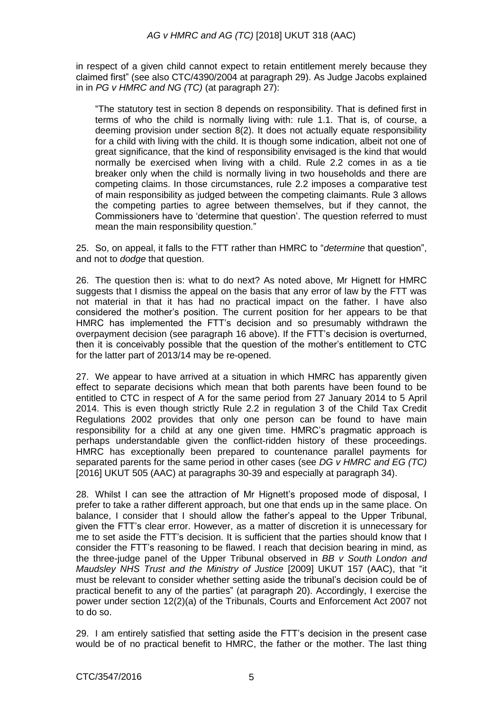in respect of a given child cannot expect to retain entitlement merely because they claimed first" (see also CTC/4390/2004 at paragraph 29). As Judge Jacobs explained in in *PG v HMRC and NG (TC)* (at paragraph 27):

"The statutory test in section 8 depends on responsibility. That is defined first in terms of who the child is normally living with: rule 1.1. That is, of course, a deeming provision under section 8(2). It does not actually equate responsibility for a child with living with the child. It is though some indication, albeit not one of great significance, that the kind of responsibility envisaged is the kind that would normally be exercised when living with a child. Rule 2.2 comes in as a tie breaker only when the child is normally living in two households and there are competing claims. In those circumstances, rule 2.2 imposes a comparative test of main responsibility as judged between the competing claimants. Rule 3 allows the competing parties to agree between themselves, but if they cannot, the Commissioners have to 'determine that question'. The question referred to must mean the main responsibility question."

25. So, on appeal, it falls to the FTT rather than HMRC to "*determine* that question", and not to *dodge* that question.

26. The question then is: what to do next? As noted above, Mr Hignett for HMRC suggests that I dismiss the appeal on the basis that any error of law by the FTT was not material in that it has had no practical impact on the father. I have also considered the mother's position. The current position for her appears to be that HMRC has implemented the FTT's decision and so presumably withdrawn the overpayment decision (see paragraph 16 above). If the FTT's decision is overturned, then it is conceivably possible that the question of the mother's entitlement to CTC for the latter part of 2013/14 may be re-opened.

27. We appear to have arrived at a situation in which HMRC has apparently given effect to separate decisions which mean that both parents have been found to be entitled to CTC in respect of A for the same period from 27 January 2014 to 5 April 2014. This is even though strictly Rule 2.2 in regulation 3 of the Child Tax Credit Regulations 2002 provides that only one person can be found to have main responsibility for a child at any one given time. HMRC's pragmatic approach is perhaps understandable given the conflict-ridden history of these proceedings. HMRC has exceptionally been prepared to countenance parallel payments for separated parents for the same period in other cases (see *DG v HMRC and EG (TC)* [2016] UKUT 505 (AAC) at paragraphs 30-39 and especially at paragraph 34).

28. Whilst I can see the attraction of Mr Hignett's proposed mode of disposal, I prefer to take a rather different approach, but one that ends up in the same place. On balance, I consider that I should allow the father's appeal to the Upper Tribunal, given the FTT's clear error. However, as a matter of discretion it is unnecessary for me to set aside the FTT's decision. It is sufficient that the parties should know that I consider the FTT's reasoning to be flawed. I reach that decision bearing in mind, as the three-judge panel of the Upper Tribunal observed in *BB v South London and Maudsley NHS Trust and the Ministry of Justice* [2009] UKUT 157 (AAC), that "it must be relevant to consider whether setting aside the tribunal's decision could be of practical benefit to any of the parties" (at paragraph 20). Accordingly, I exercise the power under section 12(2)(a) of the Tribunals, Courts and Enforcement Act 2007 not to do so.

29. I am entirely satisfied that setting aside the FTT's decision in the present case would be of no practical benefit to HMRC, the father or the mother. The last thing